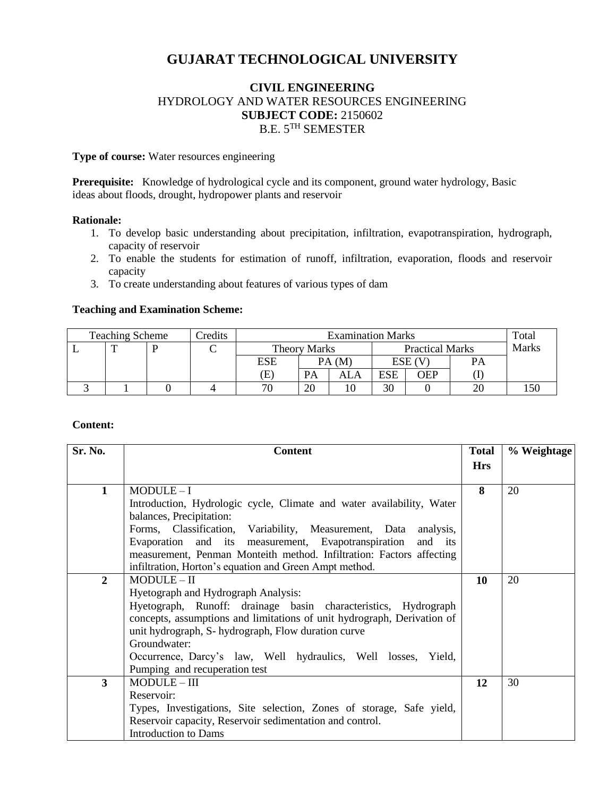# **GUJARAT TECHNOLOGICAL UNIVERSITY**

# **CIVIL ENGINEERING** HYDROLOGY AND WATER RESOURCES ENGINEERING **SUBJECT CODE:** 2150602 B.E.  $5^{TH}$  SEMESTER

**Type of course:** Water resources engineering

Prerequisite: Knowledge of hydrological cycle and its component, ground water hydrology, Basic ideas about floods, drought, hydropower plants and reservoir

### **Rationale:**

- 1. To develop basic understanding about precipitation, infiltration, evapotranspiration, hydrograph, capacity of reservoir
- 2. To enable the students for estimation of runoff, infiltration, evaporation, floods and reservoir capacity
- 3. To create understanding about features of various types of dam

### **Teaching and Examination Scheme:**

| <b>Teaching Scheme</b> |  |  | Credits | <b>Examination Marks</b> |    |                        |            |            | Total        |  |
|------------------------|--|--|---------|--------------------------|----|------------------------|------------|------------|--------------|--|
|                        |  |  |         | <b>Theory Marks</b>      |    | <b>Practical Marks</b> |            |            | <b>Marks</b> |  |
|                        |  |  |         | ESE                      |    | PA(M)                  |            | $ESE$ (V)  | PA           |  |
|                        |  |  |         | Œ                        | PA | ALA                    | <b>ESE</b> | <b>OEP</b> |              |  |
|                        |  |  |         | 70                       | 20 |                        | 30         |            |              |  |

### **Content:**

| Sr. No.      | <b>Content</b>                                                          | <b>Total</b> | % Weightage |
|--------------|-------------------------------------------------------------------------|--------------|-------------|
|              |                                                                         | <b>Hrs</b>   |             |
|              |                                                                         |              |             |
| 1            | $MODULE-I$                                                              | 8            | 20          |
|              | Introduction, Hydrologic cycle, Climate and water availability, Water   |              |             |
|              | balances, Precipitation:                                                |              |             |
|              | Forms, Classification, Variability, Measurement, Data analysis,         |              |             |
|              | Evaporation and its measurement, Evapotranspiration<br>and its          |              |             |
|              | measurement, Penman Monteith method. Infiltration: Factors affecting    |              |             |
|              | infiltration, Horton's equation and Green Ampt method.                  |              |             |
| $\mathbf{2}$ | $MODULE - II$                                                           | 10           | 20          |
|              | Hyetograph and Hydrograph Analysis:                                     |              |             |
|              | Hyetograph, Runoff: drainage basin characteristics, Hydrograph          |              |             |
|              | concepts, assumptions and limitations of unit hydrograph, Derivation of |              |             |
|              | unit hydrograph, S- hydrograph, Flow duration curve                     |              |             |
|              | Groundwater:                                                            |              |             |
|              | Occurrence, Darcy's law, Well hydraulics, Well losses, Yield,           |              |             |
|              | Pumping and recuperation test                                           |              |             |
| 3            | $MODULE - III$                                                          | 12           | 30          |
|              | Reservoir:                                                              |              |             |
|              | Types, Investigations, Site selection, Zones of storage, Safe yield,    |              |             |
|              | Reservoir capacity, Reservoir sedimentation and control.                |              |             |
|              | <b>Introduction to Dams</b>                                             |              |             |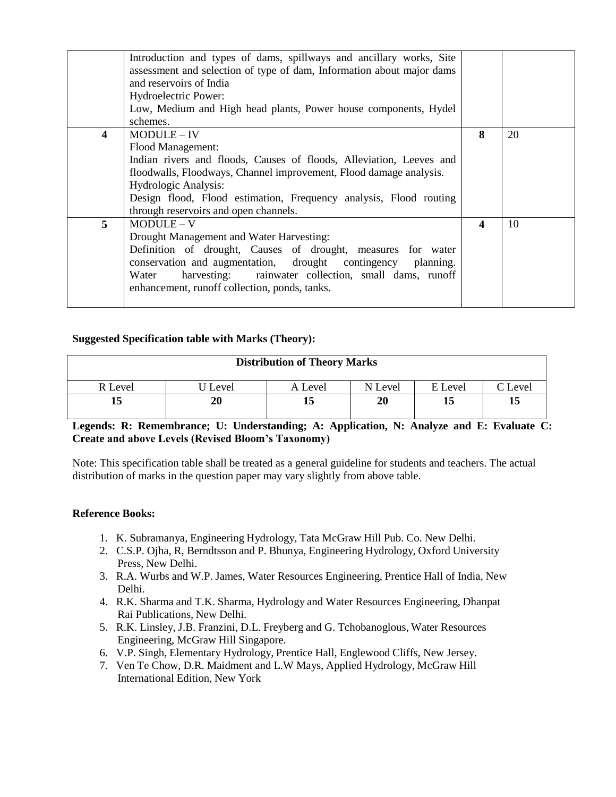|                         | Introduction and types of dams, spillways and ancillary works, Site<br>assessment and selection of type of dam, Information about major dams<br>and reservoirs of India<br>Hydroelectric Power:<br>Low, Medium and High head plants, Power house components, Hydel<br>schemes.                                    |   |    |
|-------------------------|-------------------------------------------------------------------------------------------------------------------------------------------------------------------------------------------------------------------------------------------------------------------------------------------------------------------|---|----|
| $\overline{\mathbf{4}}$ | MODULE-IV<br>Flood Management:<br>Indian rivers and floods, Causes of floods, Alleviation, Leeves and<br>floodwalls, Floodways, Channel improvement, Flood damage analysis.<br>Hydrologic Analysis:<br>Design flood, Flood estimation, Frequency analysis, Flood routing<br>through reservoirs and open channels. | 8 | 20 |
| $\overline{5}$          | $MODULE-V$<br>Drought Management and Water Harvesting:<br>Definition of drought, Causes of drought, measures for water<br>conservation and augmentation, drought contingency planning.<br>harvesting: rainwater collection, small dams, runoff<br>Water<br>enhancement, runoff collection, ponds, tanks.          | 4 | 10 |

# **Suggested Specification table with Marks (Theory):**

| <b>Distribution of Theory Marks</b> |         |         |         |         |         |  |  |
|-------------------------------------|---------|---------|---------|---------|---------|--|--|
| R Level                             | U Level | A Level | N Level | E Level | C Level |  |  |
|                                     |         |         | 20      |         | 15      |  |  |
|                                     |         |         |         |         |         |  |  |

# **Legends: R: Remembrance; U: Understanding; A: Application, N: Analyze and E: Evaluate C: Create and above Levels (Revised Bloom's Taxonomy)**

Note: This specification table shall be treated as a general guideline for students and teachers. The actual distribution of marks in the question paper may vary slightly from above table.

# **Reference Books:**

- 1. K. Subramanya, Engineering Hydrology, Tata McGraw Hill Pub. Co. New Delhi.
- 2. C.S.P. Ojha, R, Berndtsson and P. Bhunya, Engineering Hydrology, Oxford University Press, New Delhi.
- 3. R.A. Wurbs and W.P. James, Water Resources Engineering, Prentice Hall of India, New Delhi.
- 4. R.K. Sharma and T.K. Sharma, Hydrology and Water Resources Engineering, Dhanpat Rai Publications, New Delhi.
- 5. R.K. Linsley, J.B. Franzini, D.L. Freyberg and G. Tchobanoglous, Water Resources Engineering, McGraw Hill Singapore.
- 6. V.P. Singh, Elementary Hydrology, Prentice Hall, Englewood Cliffs, New Jersey.
- 7. Ven Te Chow, D.R. Maidment and L.W Mays, Applied Hydrology, McGraw Hill International Edition, New York